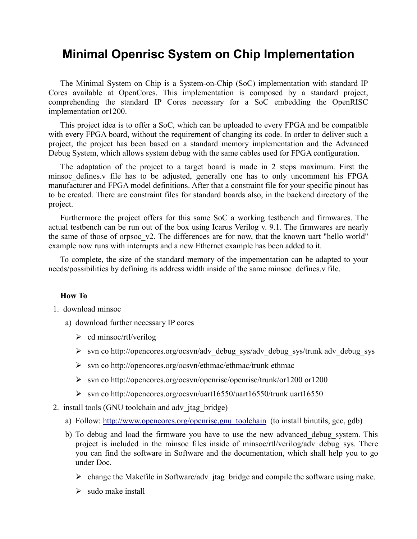# **Minimal Openrisc System on Chip Implementation**

The Minimal System on Chip is a System-on-Chip (SoC) implementation with standard IP Cores available at OpenCores. This implementation is composed by a standard project, comprehending the standard IP Cores necessary for a SoC embedding the OpenRISC implementation or1200.

This project idea is to offer a SoC, which can be uploaded to every FPGA and be compatible with every FPGA board, without the requirement of changing its code. In order to deliver such a project, the project has been based on a standard memory implementation and the Advanced Debug System, which allows system debug with the same cables used for FPGA configuration.

The adaptation of the project to a target board is made in 2 steps maximum. First the minsoc defines.v file has to be adjusted, generally one has to only uncomment his FPGA manufacturer and FPGA model definitions. After that a constraint file for your specific pinout has to be created. There are constraint files for standard boards also, in the backend directory of the project.

Furthermore the project offers for this same SoC a working testbench and firmwares. The actual testbench can be run out of the box using Icarus Verilog v. 9.1. The firmwares are nearly the same of those of orpsoc\_v2. The differences are for now, that the known uart "hello world" example now runs with interrupts and a new Ethernet example has been added to it.

To complete, the size of the standard memory of the impementation can be adapted to your needs/possibilities by defining its address width inside of the same minsoc\_defines.v file.

#### **How To**

- 1. download minsoc
	- a) download further necessary IP cores
		- $\triangleright$  cd minsoc/rtl/verilog
		- ➢ svn co http://opencores.org/ocsvn/adv\_debug\_sys/adv\_debug\_sys/trunk adv\_debug\_sys
		- ➢ svn co http://opencores.org/ocsvn/ethmac/ethmac/trunk ethmac
		- ➢ svn co http://opencores.org/ocsvn/openrisc/openrisc/trunk/or1200 or1200
		- ➢ svn co http://opencores.org/ocsvn/uart16550/uart16550/trunk uart16550
- 2. install tools (GNU toolchain and adv\_jtag\_bridge)
	- a) Follow: http://www.opencores.org/openrisc.gnu\_toolchain (to install binutils, gcc, gdb)
	- b) To debug and load the firmware you have to use the new advanced\_debug\_system. This project is included in the minsoc files inside of minsoc/rtl/verilog/adv\_debug\_sys. There you can find the software in Software and the documentation, which shall help you to go under Doc.
		- $\triangleright$  change the Makefile in Software/adv jtag bridge and compile the software using make.
		- $\geq$  sudo make install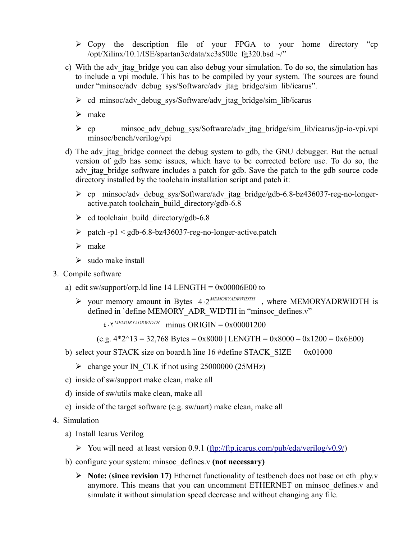- ➢ Copy the description file of your FPGA to your home directory "cp /opt/Xilinx/10.1/ISE/spartan3e/data/xc3s500e\_fg320.bsd ~/"
- c) With the adv jtag bridge you can also debug your simulation. To do so, the simulation has to include a vpi module. This has to be compiled by your system. The sources are found under "minsoc/adv\_debug\_sys/Software/adv\_jtag\_bridge/sim\_lib/icarus".
	- $\triangleright$  cd minsoc/adv debug sys/Software/adv jtag bridge/sim lib/icarus
	- ➢ make
	- $\triangleright$  cp minsoc adv debug sys/Software/adv itag bridge/sim lib/icarus/jp-io-vpi.vpi minsoc/bench/verilog/vpi
- d) The adv jtag bridge connect the debug system to gdb, the GNU debugger. But the actual version of gdb has some issues, which have to be corrected before use. To do so, the adv jtag bridge software includes a patch for gdb. Save the patch to the gdb source code directory installed by the toolchain installation script and patch it:
	- ➢ cp minsoc/adv\_debug\_sys/Software/adv\_jtag\_bridge/gdb-6.8-bz436037-reg-no-longeractive.patch toolchain\_build\_directory/gdb-6.8
	- $\geq$  cd toolchain build directory/gdb-6.8
	- $\triangleright$  patch -p1 < gdb-6.8-bz436037-reg-no-longer-active.patch
	- ➢ make
	- $\triangleright$  sudo make install
- 3. Compile software
	- a) edit sw/support/orp.ld line 14 LENGTH =  $0x00006E00$  to
		- ➢ your memory amount in Bytes 4⋅2 *MEMORYADRWIDTH* , where MEMORYADRWIDTH is defined in 'define MEMORY\_ADR\_WIDTH in "minsoc\_defines.v"

 $\epsilon \cdot Y^{MEMORYADRWIDTH}$  minus ORIGIN = 0x00001200

 $(e.g. 4*2^13 = 32,768$  Bytes = 0x8000 | LENGTH = 0x8000 – 0x1200 = 0x6E00)

- b) select your STACK size on board.h line 16 #define STACK\_SIZE 0x01000
	- $\triangleright$  change your IN CLK if not using 25000000 (25MHz)
- c) inside of sw/support make clean, make all
- d) inside of sw/utils make clean, make all
- e) inside of the target software (e.g. sw/uart) make clean, make all
- 4. Simulation
	- a) Install Icarus Verilog
		- $\triangleright$  You will need at least version 0.9.1 [\(ftp://ftp.icarus.com/pub/eda/verilog/v0.9/\)](ftp://ftp.icarus.com/pub/eda/verilog/v0.9/)
	- b) configure your system: minsoc\_defines.v **(not necessary)**
		- ➢ **Note:** (**since revision 17)** Ethernet functionality of testbench does not base on eth\_phy.v anymore. This means that you can uncomment ETHERNET on minsoc\_defines.v and simulate it without simulation speed decrease and without changing any file.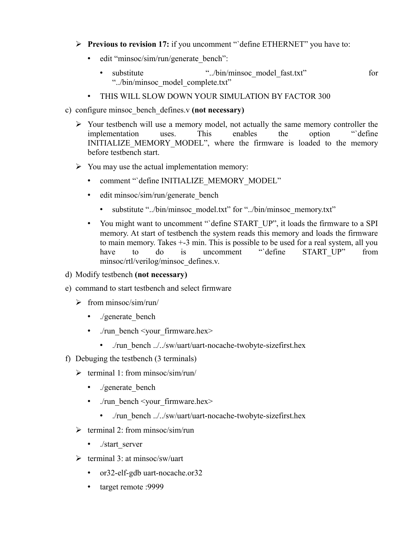- ➢ **Previous to revision 17:** if you uncomment "`define ETHERNET" you have to:
	- edit "minsoc/sim/run/generate\_bench":
		- substitute ".../bin/minsoc\_model\_fast.txt" for "../bin/minsoc\_model\_complete.txt"
	- THIS WILL SLOW DOWN YOUR SIMULATION BY FACTOR 300
- c) configure minsoc\_bench\_defines.v **(not necessary)**
	- $\triangleright$  Your testbench will use a memory model, not actually the same memory controller the implementation uses. This enables the option "`define INITIALIZE MEMORY MODEL", where the firmware is loaded to the memory before testbench start.
	- $\triangleright$  You may use the actual implementation memory:
		- comment "define INITIALIZE\_MEMORY\_MODEL"
		- edit minsoc/sim/run/generate bench
			- substitute "../bin/minsoc\_model.txt" for "../bin/minsoc\_memory.txt"
		- You might want to uncomment "`define START\_UP", it loads the firmware to a SPI memory. At start of testbench the system reads this memory and loads the firmware to main memory. Takes +-3 min. This is possible to be used for a real system, all you<br>have to do is uncomment "define START UP" from have to do is uncomment "define START\_UP" from minsoc/rtl/verilog/minsoc\_defines.v.
- d) Modify testbench **(not necessary)**
- e) command to start testbench and select firmware
	- $\triangleright$  from minsoc/sim/run/
		- ./generate bench
		- ./run\_bench <your\_firmware.hex>
			- ./run\_bench ../../sw/uart/uart-nocache-twobyte-sizefirst.hex
- f) Debuging the testbench (3 terminals)
	- $\triangleright$  terminal 1: from minsoc/sim/run/
		- ./generate\_bench
		- ./run\_bench <your\_firmware.hex>
			- ./run\_bench ../../sw/uart/uart-nocache-twobyte-sizefirst.hex
	- $\triangleright$  terminal 2: from minsoc/sim/run
		- ./start\_server
	- $\triangleright$  terminal 3: at minsoc/sw/uart
		- or32-elf-gdb uart-nocache.or32
		- target remote :9999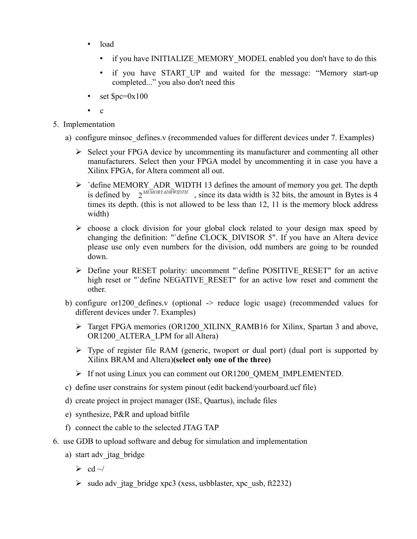- load
	- if you have INITIALIZE\_MEMORY\_MODEL enabled you don't have to do this
	- if you have START UP and waited for the message: "Memory start-up completed..." you also don't need this
- set  $\text{Spc}=0x100$
- $\mathfrak{e}$
- 5. Implementation
	- a) configure minsoc defines.v (recommended values for different devices under 7. Examples)
		- $\triangleright$  Select your FPGA device by uncommenting its manufacturer and commenting all other manufacturers. Select then your FPGA model by uncommenting it in case you have a Xilinx FPGA, for Altera comment all out.
		- $\triangleright$  `define MEMORY\_ADR\_WIDTH 13 defines the amount of memory you get. The depth is defined by  $2^{MRMORYADRWIDTH}$ , since its data width is 32 bits, the amount in Bytes is 4 times its depth. (this is not allowed to be less than 12, 11 is the memory block address width)
		- $\triangleright$  choose a clock division for your global clock related to your design max speed by changing the definition: "`define CLOCK\_DIVISOR 5". If you have an Altera device please use only even numbers for the division, odd numbers are going to be rounded down.
		- ➢ Define your RESET polarity: uncomment "`define POSITIVE\_RESET" for an active high reset or "`define NEGATIVE\_RESET" for an active low reset and comment the other.
	- b) configure or1200 defines.v (optional -> reduce logic usage) (recommended values for different devices under 7. Examples)
		- ➢ Target FPGA memories (OR1200\_XILINX\_RAMB16 for Xilinx, Spartan 3 and above, OR1200\_ALTERA\_LPM for all Altera)
		- ➢ Type of register file RAM (generic, twoport or dual port) (dual port is supported by Xilinx BRAM and Altera)**(select only one of the three)**
		- ➢ If not using Linux you can comment out OR1200\_QMEM\_IMPLEMENTED.
	- c) define user constrains for system pinout (edit backend/yourboard.ucf file)
	- d) create project in project manager (ISE, Quartus), include files
	- e) synthesize, P&R and upload bitfile
	- f) connect the cable to the selected JTAG TAP
- 6. use GDB to upload software and debug for simulation and implementation
	- a) start adv jtag bridge
		- $\triangleright$  cd  $\sim$ /
		- $\triangleright$  sudo adv jtag bridge xpc3 (xess, usbblaster, xpc usb, ft2232)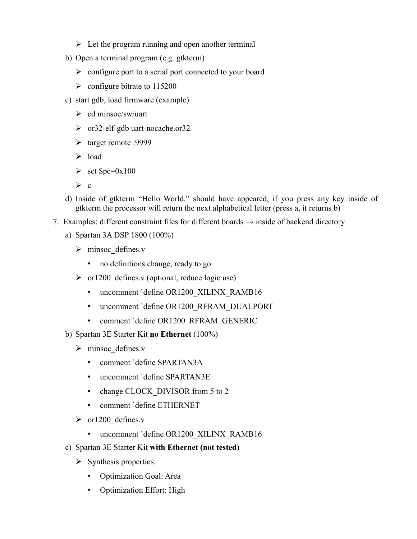- $\triangleright$  Let the program running and open another terminal
- b) Open a terminal program (e.g. gtkterm)
	- ➢ configure port to a serial port connected to your board
	- $\geq$  configure bitrate to 115200
- c) start gdb, load firmware (example)
	- $\triangleright$  cd minsoc/sw/uart
	- ➢ or32-elf-gdb uart-nocache.or32
	- ➢ target remote :9999
	- ➢ load
	- $\triangleright$  set  $\text{Spec}=0x100$
	- $\triangleright$  c
- d) Inside of gtkterm "Hello World." should have appeared, if you press any key inside of gtkterm the processor will return the next alphabetical letter (press a, it returns b)
- 7. Examples: different constraint files for different boards  $\rightarrow$  inside of backend directory
	- a) Spartan 3A DSP 1800 (100%)
		- ➢ minsoc\_defines.v
			- no definitions change, ready to go
		- $\triangleright$  or 1200 defines. v (optional, reduce logic use)
			- uncomment `define OR1200\_XILINX\_RAMB16
			- uncomment `define OR1200 RFRAM DUALPORT
			- comment `define OR1200 RFRAM GENERIC
	- b) Spartan 3E Starter Kit **no Ethernet** (100%)
		- $\triangleright$  minsoc defines.v
			- comment `define SPARTAN3A
			- uncomment `define SPARTAN3E
			- change CLOCK DIVISOR from 5 to 2
			- comment `define ETHERNET
		- $\triangleright$  or 1200 defines.v
			- uncomment `define OR1200\_XILINX\_RAMB16
	- c) Spartan 3E Starter Kit **with Ethernet (not tested)**
		- $\triangleright$  Synthesis properties:
			- Optimization Goal: Area
			- Optimization Effort: High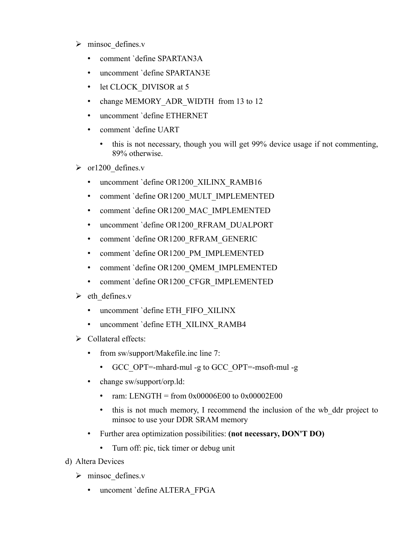- $\triangleright$  minsoc defines.v
	- comment `define SPARTAN3A
	- uncomment `define SPARTAN3E
	- let CLOCK DIVISOR at 5
	- change MEMORY ADR WIDTH from 13 to 12
	- uncomment `define ETHERNET
	- comment `define UART
		- this is not necessary, though you will get 99% device usage if not commenting, 89% otherwise.
- $\triangleright$  or 1200 defines.v
	- uncomment `define OR1200\_XILINX\_RAMB16
	- comment 'define OR1200\_MULT\_IMPLEMENTED
	- comment 'define OR1200\_MAC\_IMPLEMENTED
	- uncomment `define OR1200\_RFRAM\_DUALPORT
	- comment `define OR1200 RFRAM\_GENERIC
	- comment 'define OR1200 PM\_IMPLEMENTED
	- comment `define OR1200\_QMEM\_IMPLEMENTED
	- comment `define OR1200\_CFGR\_IMPLEMENTED
- $\triangleright$  eth defines.v
	- uncomment `define ETH\_FIFO\_XILINX
	- uncomment `define ETH\_XILINX\_RAMB4
- ➢ Collateral effects:
	- from sw/support/Makefile.inc line 7:
		- GCC\_OPT=-mhard-mul -g to GCC\_OPT=-msoft-mul -g
	- change sw/support/orp.ld:
		- ram: LENGTH = from  $0x00006E00$  to  $0x00002E00$
		- this is not much memory, I recommend the inclusion of the wb ddr project to minsoc to use your DDR SRAM memory
	- Further area optimization possibilities: **(not necessary, DON'T DO)**
		- Turn off: pic, tick timer or debug unit
- d) Altera Devices
	- $\triangleright$  minsoc defines.v
		- uncoment `define ALTERA\_FPGA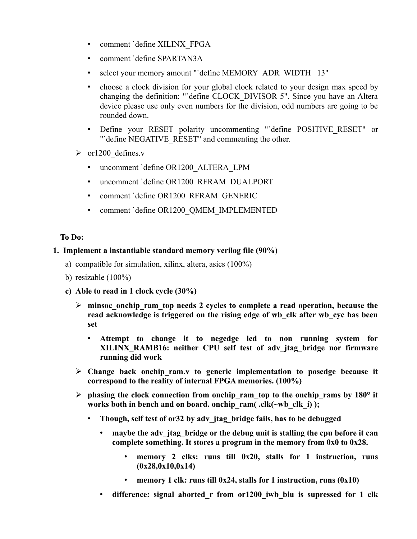- comment `define XILINX\_FPGA
- comment `define SPARTAN3A
- select your memory amount "`define MEMORY\_ADR\_WIDTH 13"
- choose a clock division for your global clock related to your design max speed by changing the definition: "`define CLOCK\_DIVISOR 5". Since you have an Altera device please use only even numbers for the division, odd numbers are going to be rounded down.
- Define your RESET polarity uncommenting "`define POSITIVE\_RESET" or "'define NEGATIVE\_RESET" and commenting the other.
- $\triangleright$  or 1200 defines.v
	- uncomment `define OR1200\_ALTERA\_LPM
	- uncomment `define OR1200 RFRAM DUALPORT
	- comment `define OR1200\_RFRAM\_GENERIC
	- comment `define OR1200\_QMEM\_IMPLEMENTED

#### **To Do:**

### **1. Implement a instantiable standard memory verilog file (90%)**

- a) compatible for simulation, xilinx, altera, asics (100%)
- b) resizable  $(100\%)$
- **c) Able to read in 1 clock cycle (30%)**
	- ➢ **minsoc\_onchip\_ram\_top needs 2 cycles to complete a read operation, because the read acknowledge is triggered on the rising edge of wb\_clk after wb\_cyc has been set**
		- **Attempt to change it to negedge led to non running system for XILINX\_RAMB16: neither CPU self test of adv\_jtag\_bridge nor firmware running did work**
	- ➢ **Change back onchip\_ram.v to generic implementation to posedge because it correspond to the reality of internal FPGA memories. (100%)**
	- $\triangleright$  phasing the clock connection from onchip ram top to the onchip rams by 180 $\degree$  it **works both in bench and on board. onchip\_ram( .clk(~wb\_clk\_i) );** 
		- **Though, self test of or32 by adv\_jtag\_bridge fails, has to be debugged**
			- **maybe the adv\_jtag\_bridge or the debug unit is stalling the cpu before it can complete something. It stores a program in the memory from 0x0 to 0x28.**
				- **memory 2 clks: runs till 0x20, stalls for 1 instruction, runs (0x28,0x10,0x14)**
				- **memory 1 clk: runs till 0x24, stalls for 1 instruction, runs (0x10)**
			- **difference: signal aborted\_r from or1200\_iwb\_biu is supressed for 1 clk**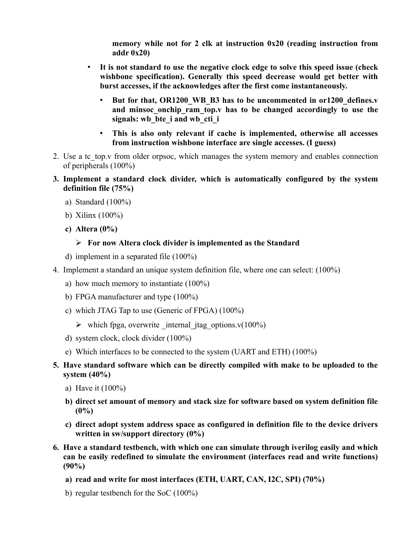**memory while not for 2 clk at instruction 0x20 (reading instruction from addr 0x20)**

- **It is not standard to use the negative clock edge to solve this speed issue (check wishbone specification). Generally this speed decrease would get better with burst accesses, if the acknowledges after the first come instantaneously.** 
	- **But for that, OR1200\_WB\_B3 has to be uncommented in or1200\_defines.v and minsoc\_onchip\_ram\_top.v has to be changed accordingly to use the signals: wb\_bte\_i and wb\_cti\_i**
	- **This is also only relevant if cache is implemented, otherwise all accesses from instruction wishbone interface are single accesses. (I guess)**
- 2. Use a tc top.v from older orpsoc, which manages the system memory and enables connection of peripherals (100%)
- **3. Implement a standard clock divider, which is automatically configured by the system definition file (75%)**
	- a) Standard (100%)
	- b) Xilinx (100%)
	- **c) Altera (0%)**

## ➢ **For now Altera clock divider is implemented as the Standard**

- d) implement in a separated file (100%)
- 4. Implement a standard an unique system definition file, where one can select: (100%)
	- a) how much memory to instantiate (100%)
	- b) FPGA manufacturer and type (100%)
	- c) which JTAG Tap to use (Generic of FPGA) (100%)
		- $\triangleright$  which fpga, overwrite internal jtag options.v(100%)
	- d) system clock, clock divider (100%)
	- e) Which interfaces to be connected to the system (UART and ETH) (100%)
- **5. Have standard software which can be directly compiled with make to be uploaded to the system (40%)**
	- a) Have it (100%)
	- **b) direct set amount of memory and stack size for software based on system definition file (0%)**
	- **c) direct adopt system address space as configured in definition file to the device drivers written in sw/support directory (0%)**
- **6. Have a standard testbench, with which one can simulate through iverilog easily and which can be easily redefined to simulate the environment (interfaces read and write functions) (90%)**
	- **a) read and write for most interfaces (ETH, UART, CAN, I2C, SPI) (70%)**
	- b) regular testbench for the SoC (100%)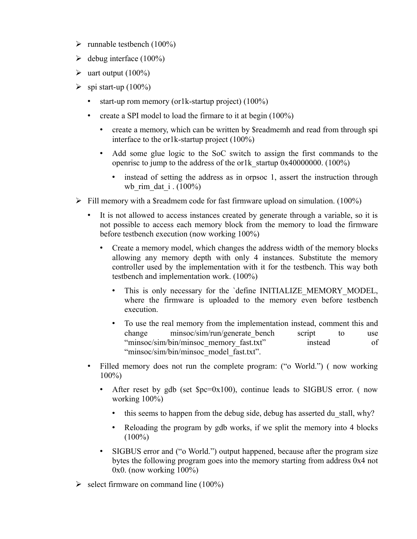- $\triangleright$  runnable testbench (100%)
- $\blacktriangleright$  debug interface (100%)
- $\blacktriangleright$  uart output (100%)
- $\triangleright$  spi start-up (100%)
	- start-up rom memory (or1k-startup project) (100%)
	- create a SPI model to load the firmare to it at begin (100%)
		- create a memory, which can be written by \$readmemh and read from through spi interface to the or1k-startup project (100%)
		- Add some glue logic to the SoC switch to assign the first commands to the openrisc to jump to the address of the or1k startup  $0x40000000$ . (100%)
			- instead of setting the address as in orpsoc 1, assert the instruction through wb rim dat i.  $(100\%)$
- $\triangleright$  Fill memory with a \$readmem code for fast firmware upload on simulation. (100%)
	- It is not allowed to access instances created by generate through a variable, so it is not possible to access each memory block from the memory to load the firmware before testbench execution (now working 100%)
		- Create a memory model, which changes the address width of the memory blocks allowing any memory depth with only 4 instances. Substitute the memory controller used by the implementation with it for the testbench. This way both testbench and implementation work. (100%)
			- This is only necessary for the 'define INITIALIZE MEMORY MODEL, where the firmware is uploaded to the memory even before testbench execution.
			- To use the real memory from the implementation instead, comment this and change minsoc/sim/run/generate bench script to use "minsoc/sim/bin/minsoc\_memory\_fast.txt" instead of "minsoc/sim/bin/minsoc\_model\_fast.txt".
	- Filled memory does not run the complete program: ("o World.") (now working 100%)
		- After reset by gdb (set  $pc=0x100$ ), continue leads to SIGBUS error. (now working 100%)
			- this seems to happen from the debug side, debug has asserted du stall, why?
			- Reloading the program by gdb works, if we split the memory into 4 blocks  $(100\%)$
		- SIGBUS error and ("o World.") output happened, because after the program size bytes the following program goes into the memory starting from address 0x4 not 0x0. (now working 100%)
- $\geq$  select firmware on command line (100%)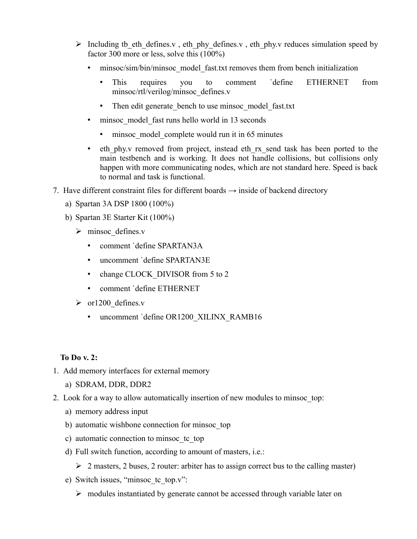- $\triangleright$  Including tb eth defines.v, eth phy defines.v, eth phy.v reduces simulation speed by factor 300 more or less, solve this (100%)
	- minsoc/sim/bin/minsoc\_model\_fast.txt removes them from bench initialization
		- This requires you to comment `define ETHERNET from minsoc/rtl/verilog/minsoc\_defines.v
		- Then edit generate bench to use minsoc model fast.txt
	- minsoc model fast runs hello world in 13 seconds
		- minsoc model complete would run it in 65 minutes
	- eth phy.v removed from project, instead eth rx send task has been ported to the main testbench and is working. It does not handle collisions, but collisions only happen with more communicating nodes, which are not standard here. Speed is back to normal and task is functional.
- 7. Have different constraint files for different boards  $\rightarrow$  inside of backend directory
	- a) Spartan 3A DSP 1800 (100%)
	- b) Spartan 3E Starter Kit (100%)
		- $\triangleright$  minsoc defines.v
			- comment `define SPARTAN3A
			- uncomment `define SPARTAN3E
			- change CLOCK DIVISOR from 5 to 2
			- comment `define ETHERNET
		- $\triangleright$  or 1200 defines.v
			- uncomment `define OR1200\_XILINX\_RAMB16

## **To Do v. 2:**

- 1. Add memory interfaces for external memory
	- a) SDRAM, DDR, DDR2
- 2. Look for a way to allow automatically insertion of new modules to minsoc\_top:
	- a) memory address input
	- b) automatic wishbone connection for minsoc\_top
	- c) automatic connection to minsoc\_tc\_top
	- d) Full switch function, according to amount of masters, i.e.:
		- $\geq 2$  masters, 2 buses, 2 router: arbiter has to assign correct bus to the calling master)
	- e) Switch issues, "minsoc\_tc\_top.v":
		- ➢ modules instantiated by generate cannot be accessed through variable later on